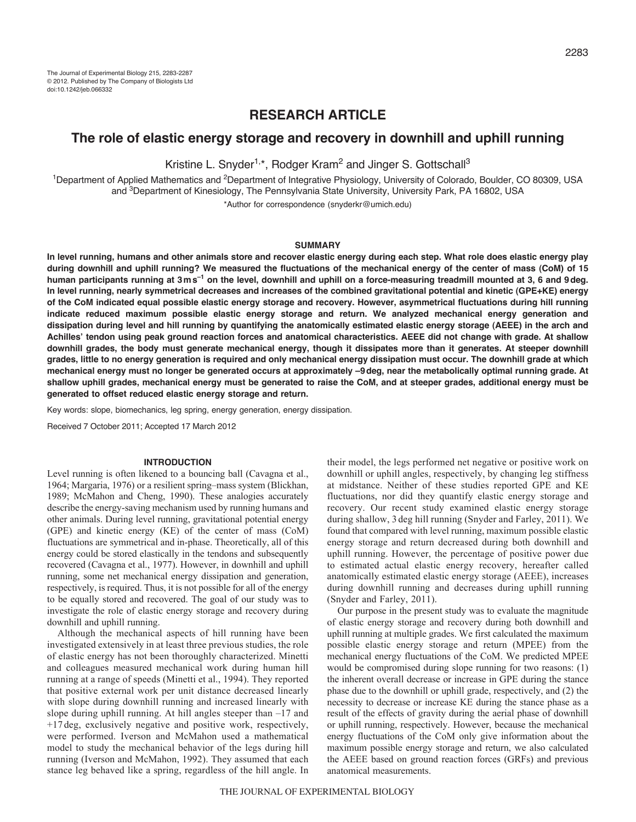# **RESEARCH ARTICLE**

## **The role of elastic energy storage and recovery in downhill and uphill running**

Kristine L. Snyder<sup>1,\*</sup>, Rodger Kram<sup>2</sup> and Jinger S. Gottschall<sup>3</sup>

<sup>1</sup>Department of Applied Mathematics and <sup>2</sup>Department of Integrative Physiology, University of Colorado, Boulder, CO 80309, USA and 3Department of Kinesiology, The Pennsylvania State University, University Park, PA 16802, USA

\*Author for correspondence (snyderkr@umich.edu)

### **SUMMARY**

**In level running, humans and other animals store and recover elastic energy during each step. What role does elastic energy play during downhill and uphill running? We measured the fluctuations of the mechanical energy of the center of mass (CoM) of 15 human participants running at 3ms–1 on the level, downhill and uphill on a force-measuring treadmill mounted at 3, 6 and 9deg. In level running, nearly symmetrical decreases and increases of the combined gravitational potential and kinetic (GPE+KE) energy of the CoM indicated equal possible elastic energy storage and recovery. However, asymmetrical fluctuations during hill running indicate reduced maximum possible elastic energy storage and return. We analyzed mechanical energy generation and dissipation during level and hill running by quantifying the anatomically estimated elastic energy storage (AEEE) in the arch and Achilles' tendon using peak ground reaction forces and anatomical characteristics. AEEE did not change with grade. At shallow downhill grades, the body must generate mechanical energy, though it dissipates more than it generates. At steeper downhill grades, little to no energy generation is required and only mechanical energy dissipation must occur. The downhill grade at which mechanical energy must no longer be generated occurs at approximately –9deg, near the metabolically optimal running grade. At shallow uphill grades, mechanical energy must be generated to raise the CoM, and at steeper grades, additional energy must be generated to offset reduced elastic energy storage and return.**

Key words: slope, biomechanics, leg spring, energy generation, energy dissipation.

Received 7 October 2011; Accepted 17 March 2012

#### **INTRODUCTION**

Level running is often likened to a bouncing ball (Cavagna et al., 1964; Margaria, 1976) or a resilient spring–mass system (Blickhan, 1989; McMahon and Cheng, 1990). These analogies accurately describe the energy-saving mechanism used by running humans and other animals. During level running, gravitational potential energy (GPE) and kinetic energy (KE) of the center of mass (CoM) fluctuations are symmetrical and in-phase. Theoretically, all of this energy could be stored elastically in the tendons and subsequently recovered (Cavagna et al., 1977). However, in downhill and uphill running, some net mechanical energy dissipation and generation, respectively, is required. Thus, it is not possible for all of the energy to be equally stored and recovered. The goal of our study was to investigate the role of elastic energy storage and recovery during downhill and uphill running.

Although the mechanical aspects of hill running have been investigated extensively in at least three previous studies, the role of elastic energy has not been thoroughly characterized. Minetti and colleagues measured mechanical work during human hill running at a range of speeds (Minetti et al., 1994). They reported that positive external work per unit distance decreased linearly with slope during downhill running and increased linearly with slope during uphill running. At hill angles steeper than –17 and +17 deg, exclusively negative and positive work, respectively, were performed. Iverson and McMahon used a mathematical model to study the mechanical behavior of the legs during hill running (Iverson and McMahon, 1992). They assumed that each stance leg behaved like a spring, regardless of the hill angle. In

their model, the legs performed net negative or positive work on downhill or uphill angles, respectively, by changing leg stiffness at midstance. Neither of these studies reported GPE and KE fluctuations, nor did they quantify elastic energy storage and recovery. Our recent study examined elastic energy storage during shallow, 3 deg hill running (Snyder and Farley, 2011). We found that compared with level running, maximum possible elastic energy storage and return decreased during both downhill and uphill running. However, the percentage of positive power due to estimated actual elastic energy recovery, hereafter called anatomically estimated elastic energy storage (AEEE), increases during downhill running and decreases during uphill running (Snyder and Farley, 2011).

Our purpose in the present study was to evaluate the magnitude of elastic energy storage and recovery during both downhill and uphill running at multiple grades. We first calculated the maximum possible elastic energy storage and return (MPEE) from the mechanical energy fluctuations of the CoM. We predicted MPEE would be compromised during slope running for two reasons: (1) the inherent overall decrease or increase in GPE during the stance phase due to the downhill or uphill grade, respectively, and (2) the necessity to decrease or increase KE during the stance phase as a result of the effects of gravity during the aerial phase of downhill or uphill running, respectively. However, because the mechanical energy fluctuations of the CoM only give information about the maximum possible energy storage and return, we also calculated the AEEE based on ground reaction forces (GRFs) and previous anatomical measurements.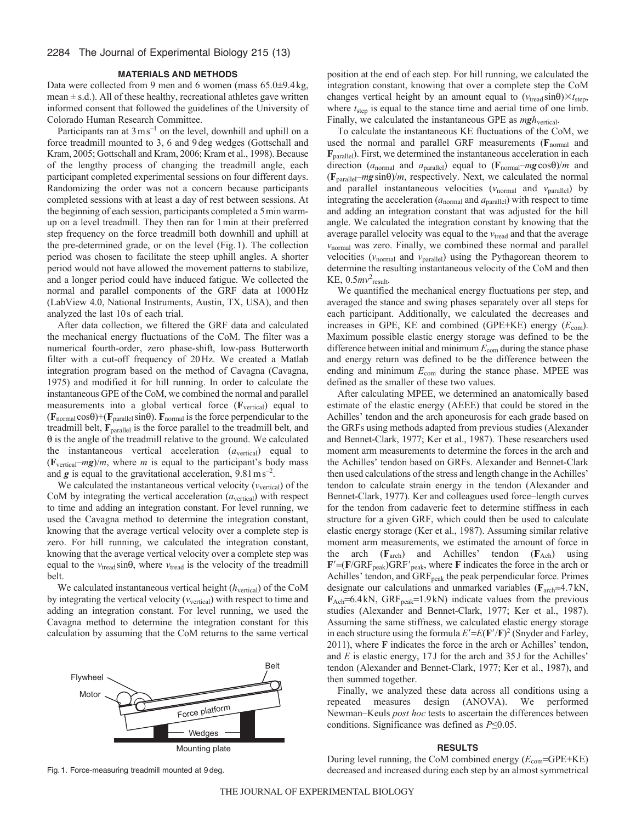#### **MATERIALS AND METHODS**

Data were collected from 9 men and 6 women (mass 65.0±9.4kg, mean  $\pm$  s.d.). All of these healthy, recreational athletes gave written informed consent that followed the guidelines of the University of Colorado Human Research Committee.

Participants ran at  $3 \text{ m s}^{-1}$  on the level, downhill and uphill on a force treadmill mounted to 3, 6 and 9deg wedges (Gottschall and Kram, 2005; Gottschall and Kram, 2006; Kram et al., 1998). Because of the lengthy process of changing the treadmill angle, each participant completed experimental sessions on four different days. Randomizing the order was not a concern because participants completed sessions with at least a day of rest between sessions. At the beginning of each session, participants completed a 5min warmup on a level treadmill. They then ran for 1min at their preferred step frequency on the force treadmill both downhill and uphill at the pre-determined grade, or on the level (Fig.1). The collection period was chosen to facilitate the steep uphill angles. A shorter period would not have allowed the movement patterns to stabilize, and a longer period could have induced fatigue. We collected the normal and parallel components of the GRF data at 1000Hz (LabView 4.0, National Instruments, Austin, TX, USA), and then analyzed the last 10s of each trial.

After data collection, we filtered the GRF data and calculated the mechanical energy fluctuations of the CoM. The filter was a numerical fourth-order, zero phase-shift, low-pass Butterworth filter with a cut-off frequency of 20Hz. We created a Matlab integration program based on the method of Cavagna (Cavagna, 1975) and modified it for hill running. In order to calculate the instantaneous GPE of the CoM, we combined the normal and parallel measurements into a global vertical force (**F**vertical) equal to  $(\mathbf{F}_{normal} \cos \theta) + (\mathbf{F}_{parallel} \sin \theta)$ .  $\mathbf{F}_{normal}$  is the force perpendicular to the treadmill belt, **F**parallel is the force parallel to the treadmill belt, and  $\theta$  is the angle of the treadmill relative to the ground. We calculated the instantaneous vertical acceleration (*a*vertical) equal to  $(\mathbf{F}_{vertical} - mg)/m$ , where *m* is equal to the participant's body mass and  $g$  is equal to the gravitational acceleration,  $9.81 \text{ m s}^{-2}$ .

We calculated the instantaneous vertical velocity  $(v_{\text{vertical}})$  of the CoM by integrating the vertical acceleration  $(a_{\text{vertical}})$  with respect to time and adding an integration constant. For level running, we used the Cavagna method to determine the integration constant, knowing that the average vertical velocity over a complete step is zero. For hill running, we calculated the integration constant, knowing that the average vertical velocity over a complete step was equal to the  $v_{\text{tread}} \sin\theta$ , where  $v_{\text{tread}}$  is the velocity of the treadmill belt.

We calculated instantaneous vertical height ( $h_{\text{vertical}}$ ) of the CoM by integrating the vertical velocity  $(v_{\text{vertical}})$  with respect to time and adding an integration constant. For level running, we used the Cavagna method to determine the integration constant for this calculation by assuming that the CoM returns to the same vertical



Fig. 1. Force-measuring treadmill mounted at 9 deg.

position at the end of each step. For hill running, we calculated the integration constant, knowing that over a complete step the CoM changes vertical height by an amount equal to  $(v_{\text{tread}} \sin \theta) \times t_{\text{step}}$ , where  $t_{step}$  is equal to the stance time and aerial time of one limb. Finally, we calculated the instantaneous GPE as  $mgh$ <sub>vertical</sub>.

To calculate the instantaneous KE fluctuations of the CoM, we used the normal and parallel GRF measurements (**F**normal and **F**parallel). First, we determined the instantaneous acceleration in each direction ( $a_{normal}$  and  $a_{parallel}$ ) equal to ( $\mathbf{F}_{normal}$ – $mg\cos\theta$ )/*m* and  $(\mathbf{F}_{parallel}-mg\sin\theta)/m$ , respectively. Next, we calculated the normal and parallel instantaneous velocities  $(v_{normal}$  and  $v_{parallel})$  by integrating the acceleration  $(a_{normal}$  and  $a_{parallel}$ ) with respect to time and adding an integration constant that was adjusted for the hill angle. We calculated the integration constant by knowing that the average parallel velocity was equal to the  $v_{\text{tread}}$  and that the average *v*normal was zero. Finally, we combined these normal and parallel velocities ( $v_{normal}$  and  $v_{parallel}$ ) using the Pythagorean theorem to determine the resulting instantaneous velocity of the CoM and then KE,  $0.5mv^2$ <sub>result</sub>.

We quantified the mechanical energy fluctuations per step, and averaged the stance and swing phases separately over all steps for each participant. Additionally, we calculated the decreases and increases in GPE, KE and combined (GPE+KE) energy  $(E_{com})$ . Maximum possible elastic energy storage was defined to be the difference between initial and minimum *E*com during the stance phase and energy return was defined to be the difference between the ending and minimum  $E_{com}$  during the stance phase. MPEE was defined as the smaller of these two values.

After calculating MPEE, we determined an anatomically based estimate of the elastic energy (AEEE) that could be stored in the Achilles' tendon and the arch aponeurosis for each grade based on the GRFs using methods adapted from previous studies (Alexander and Bennet-Clark, 1977; Ker et al., 1987). These researchers used moment arm measurements to determine the forces in the arch and the Achilles' tendon based on GRFs. Alexander and Bennet-Clark then used calculations of the stress and length change in the Achilles' tendon to calculate strain energy in the tendon (Alexander and Bennet-Clark, 1977). Ker and colleagues used force–length curves for the tendon from cadaveric feet to determine stiffness in each structure for a given GRF, which could then be used to calculate elastic energy storage (Ker et al., 1987). Assuming similar relative moment arm measurements, we estimated the amount of force in the arch (**F**arch) and Achilles' tendon (**F**Ach) using  $\mathbf{F}' = (\mathbf{F}/\mathbf{GRF}_{peak})\mathbf{GRF}'_{peak}$ , where **F** indicates the force in the arch or Achilles' tendon, and GRF<sub>peak</sub> the peak perpendicular force. Primes designate our calculations and unmarked variables ( $\mathbf{F}_{\text{arch}}=4.7\,\text{kN}$ ,  $F_{Ach}$ =6.4kN, GRF<sub>peak</sub>=1.9kN) indicate values from the previous studies (Alexander and Bennet-Clark, 1977; Ker et al., 1987). Assuming the same stiffness, we calculated elastic energy storage in each structure using the formula  $E' = E(\mathbf{F}'/\mathbf{F})^2$  (Snyder and Farley, 2011), where **F** indicates the force in the arch or Achilles' tendon, and *E* is elastic energy, 17J for the arch and 35J for the Achilles' tendon (Alexander and Bennet-Clark, 1977; Ker et al., 1987), and then summed together.

Finally, we analyzed these data across all conditions using a repeated measures design (ANOVA). We performed Newman–Keuls *post hoc* tests to ascertain the differences between conditions. Significance was defined as *P*≤0.05.

#### **RESULTS**

During level running, the CoM combined energy ( $E_{com}$ =GPE+KE) decreased and increased during each step by an almost symmetrical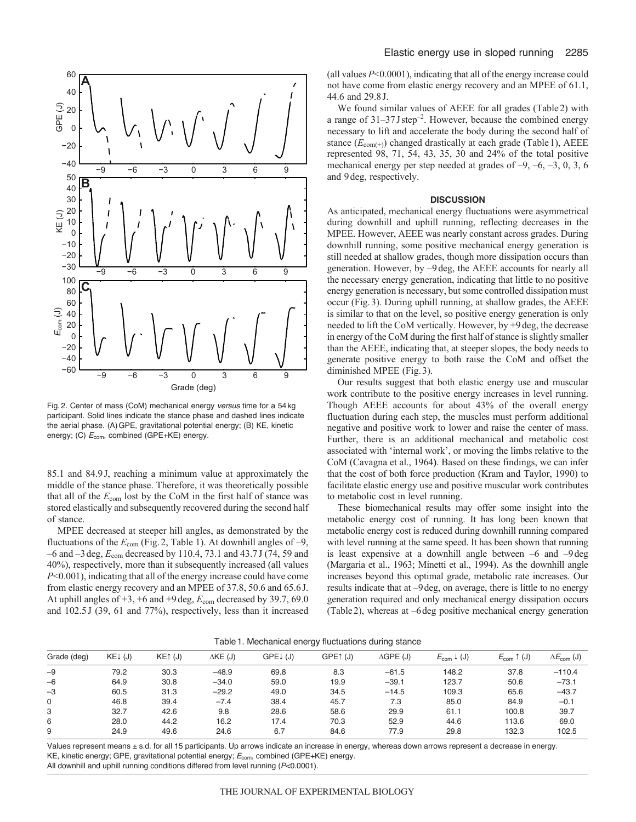

Fig. 2. Center of mass (CoM) mechanical energy *versus* time for a 54 kg participant. Solid lines indicate the stance phase and dashed lines indicate the aerial phase. (A)GPE, gravitational potential energy; (B) KE, kinetic energy; (C)  $E_{\text{com}}$ , combined (GPE+KE) energy.

85.1 and 84.9J, reaching a minimum value at approximately the middle of the stance phase. Therefore, it was theoretically possible that all of the *E*com lost by the CoM in the first half of stance was stored elastically and subsequently recovered during the second half of stance.

MPEE decreased at steeper hill angles, as demonstrated by the fluctuations of the  $E_{\text{com}}$  (Fig. 2, Table 1). At downhill angles of -9, –6 and –3deg, *E*com decreased by 110.4, 73.1 and 43.7J (74, 59 and 40%), respectively, more than it subsequently increased (all values *P*<0.001), indicating that all of the energy increase could have come from elastic energy recovery and an MPEE of 37.8, 50.6 and 65.6J. At uphill angles of  $+3$ ,  $+6$  and  $+9$  deg,  $E_{\text{com}}$  decreased by 39.7, 69.0 and 102.5J (39, 61 and 77%), respectively, less than it increased (all values *P*<0.0001), indicating that all of the energy increase could not have come from elastic energy recovery and an MPEE of 61.1, 44.6 and 29.8J.

We found similar values of AEEE for all grades (Table2) with a range of 31–37Jstep–2. However, because the combined energy necessary to lift and accelerate the body during the second half of stance ( $E_{com(+)}$ ) changed drastically at each grade (Table 1), AEEE represented 98, 71, 54, 43, 35, 30 and 24% of the total positive mechanical energy per step needed at grades of –9, –6, –3, 0, 3, 6 and 9deg, respectively.

#### **DISCUSSION**

As anticipated, mechanical energy fluctuations were asymmetrical during downhill and uphill running, reflecting decreases in the MPEE. However, AEEE was nearly constant across grades. During downhill running, some positive mechanical energy generation is still needed at shallow grades, though more dissipation occurs than generation. However, by –9deg, the AEEE accounts for nearly all the necessary energy generation, indicating that little to no positive energy generation is necessary, but some controlled dissipation must occur (Fig.3). During uphill running, at shallow grades, the AEEE is similar to that on the level, so positive energy generation is only needed to lift the CoM vertically. However, by +9deg, the decrease in energy of the CoM during the first half of stance is slightly smaller than the AEEE, indicating that, at steeper slopes, the body needs to generate positive energy to both raise the CoM and offset the diminished MPEE (Fig.3).

Our results suggest that both elastic energy use and muscular work contribute to the positive energy increases in level running. Though AEEE accounts for about 43% of the overall energy fluctuation during each step, the muscles must perform additional negative and positive work to lower and raise the center of mass. Further, there is an additional mechanical and metabolic cost associated with 'internal work', or moving the limbs relative to the CoM (Cavagna et al., 1964**)**. Based on these findings, we can infer that the cost of both force production (Kram and Taylor, 1990) to facilitate elastic energy use and positive muscular work contributes to metabolic cost in level running.

These biomechanical results may offer some insight into the metabolic energy cost of running. It has long been known that metabolic energy cost is reduced during downhill running compared with level running at the same speed. It has been shown that running is least expensive at a downhill angle between  $-6$  and  $-9$  deg (Margaria et al., 1963; Minetti et al., 1994). As the downhill angle increases beyond this optimal grade, metabolic rate increases. Our results indicate that at –9deg, on average, there is little to no energy generation required and only mechanical energy dissipation occurs (Table2), whereas at –6deg positive mechanical energy generation

|  | Table 1. Mechanical energy fluctuations during stance |  |
|--|-------------------------------------------------------|--|
|  |                                                       |  |

| Grade (deg) | $KE^{+}$ (J) | $KE†$ (J) | $\Delta$ KE (J) | $GPEL$ (J) | GPE <sup>1</sup><br>์ (J) | $\triangle GPE$ (J) | $E_{com} \downarrow (J)$ | $E_{\text{com}}$ 1<br>(J) | $\Delta E_{\text{com}}$ (J) |
|-------------|--------------|-----------|-----------------|------------|---------------------------|---------------------|--------------------------|---------------------------|-----------------------------|
| $-9$        | 79.2         | 30.3      | $-48.9$         | 69.8       | 8.3                       | $-61.5$             | 148.2                    | 37.8                      | $-110.4$                    |
| $-6$        | 64.9         | 30.8      | $-34.0$         | 59.0       | 19.9                      | $-39.1$             | 123.7                    | 50.6                      | $-73.1$                     |
| $-3$        | 60.5         | 31.3      | $-29.2$         | 49.0       | 34.5                      | $-14.5$             | 109.3                    | 65.6                      | $-43.7$                     |
| 0           | 46.8         | 39.4      | $-7.4$          | 38.4       | 45.7                      | 7.3                 | 85.0                     | 84.9                      | $-0.1$                      |
| З           | 32.7         | 42.6      | 9.8             | 28.6       | 58.6                      | 29.9                | 61.1                     | 100.8                     | 39.7                        |
| 6           | 28.0         | 44.2      | 16.2            | 17.4       | 70.3                      | 52.9                | 44.6                     | 113.6                     | 69.0                        |
| 9           | 24.9         | 49.6      | 24.6            | 6.7        | 84.6                      | 77.9                | 29.8                     | 132.3                     | 102.5                       |

Values represent means ± s.d. for all 15 participants. Up arrows indicate an increase in energy, whereas down arrows represent a decrease in energy. KE, kinetic energy; GPE, gravitational potential energy; *E*com, combined (GPE+KE) energy.

All downhill and uphill running conditions differed from level running (*P*<0.0001).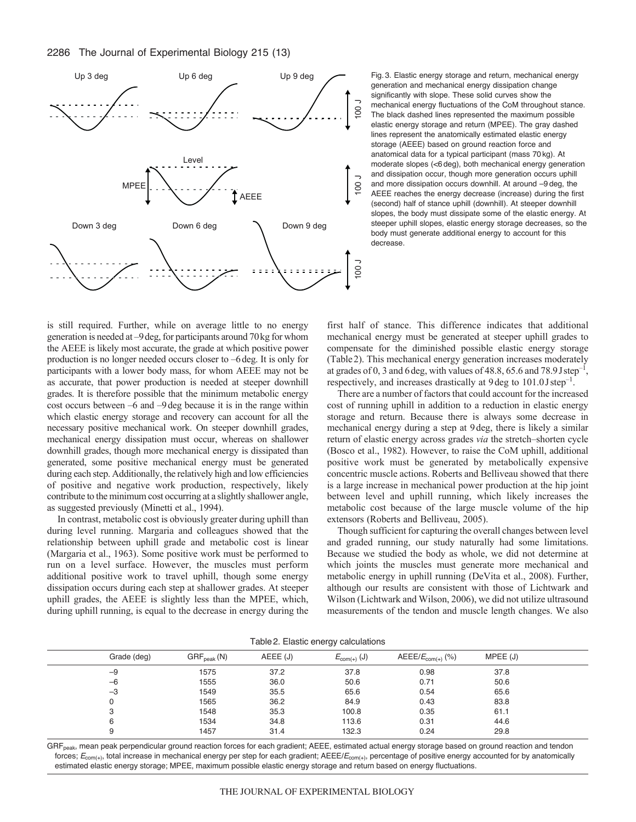

Fig. 3. Elastic energy storage and return, mechanical energy generation and mechanical energy dissipation change significantly with slope. These solid curves show the mechanical energy fluctuations of the CoM throughout stance. The black dashed lines represented the maximum possible elastic energy storage and return (MPEE). The gray dashed lines represent the anatomically estimated elastic energy storage (AEEE) based on ground reaction force and anatomical data for a typical participant (mass 70 kg). At moderate slopes (<6 deg), both mechanical energy generation and dissipation occur, though more generation occurs uphill and more dissipation occurs downhill. At around –9 deg, the AEEE reaches the energy decrease (increase) during the first (second) half of stance uphill (downhill). At steeper downhill slopes, the body must dissipate some of the elastic energy. At steeper uphill slopes, elastic energy storage decreases, so the body must generate additional energy to account for this decrease.

is still required. Further, while on average little to no energy generation is needed at –9deg, for participants around 70kg for whom the AEEE is likely most accurate, the grade at which positive power production is no longer needed occurs closer to –6deg. It is only for participants with a lower body mass, for whom AEEE may not be as accurate, that power production is needed at steeper downhill grades. It is therefore possible that the minimum metabolic energy cost occurs between –6 and –9deg because it is in the range within which elastic energy storage and recovery can account for all the necessary positive mechanical work. On steeper downhill grades, mechanical energy dissipation must occur, whereas on shallower downhill grades, though more mechanical energy is dissipated than generated, some positive mechanical energy must be generated during each step. Additionally, the relatively high and low efficiencies of positive and negative work production, respectively, likely contribute to the minimum cost occurring at a slightly shallower angle, as suggested previously (Minetti et al., 1994).

In contrast, metabolic cost is obviously greater during uphill than during level running. Margaria and colleagues showed that the relationship between uphill grade and metabolic cost is linear (Margaria et al., 1963). Some positive work must be performed to run on a level surface. However, the muscles must perform additional positive work to travel uphill, though some energy dissipation occurs during each step at shallower grades. At steeper uphill grades, the AEEE is slightly less than the MPEE, which, during uphill running, is equal to the decrease in energy during the first half of stance. This difference indicates that additional mechanical energy must be generated at steeper uphill grades to compensate for the diminished possible elastic energy storage (Table2). This mechanical energy generation increases moderately at grades of 0, 3 and 6 deg, with values of 48.8, 65.6 and 78.9 J step<sup>-1</sup>, respectively, and increases drastically at 9deg to 101.0Jstep–1.

There are a number of factors that could account for the increased cost of running uphill in addition to a reduction in elastic energy storage and return. Because there is always some decrease in mechanical energy during a step at 9deg, there is likely a similar return of elastic energy across grades *via* the stretch–shorten cycle (Bosco et al., 1982). However, to raise the CoM uphill, additional positive work must be generated by metabolically expensive concentric muscle actions. Roberts and Belliveau showed that there is a large increase in mechanical power production at the hip joint between level and uphill running, which likely increases the metabolic cost because of the large muscle volume of the hip extensors (Roberts and Belliveau, 2005).

Though sufficient for capturing the overall changes between level and graded running, our study naturally had some limitations. Because we studied the body as whole, we did not determine at which joints the muscles must generate more mechanical and metabolic energy in uphill running (DeVita et al., 2008). Further, although our results are consistent with those of Lichtwark and Wilson (Lichtwark and Wilson, 2006), we did not utilize ultrasound measurements of the tendon and muscle length changes. We also

| Grade (deg) | $GRF_{peak} (N)$ | AEEE (J) | $E_{com(+)}(J)$ | $AEEE/E_{\text{com(+)}}$ (%) | MPEE(J) |  |
|-------------|------------------|----------|-----------------|------------------------------|---------|--|
| $-9$        | 1575             | 37.2     | 37.8            | 0.98                         | 37.8    |  |
| $-6$        | 1555             | 36.0     | 50.6            | 0.71                         | 50.6    |  |
| $-3$        | 1549             | 35.5     | 65.6            | 0.54                         | 65.6    |  |
|             | 1565             | 36.2     | 84.9            | 0.43                         | 83.8    |  |
| 3           | 1548             | 35.3     | 100.8           | 0.35                         | 61.1    |  |
| 6           | 1534             | 34.8     | 113.6           | 0.31                         | 44.6    |  |
| 9           | 1457             | 31.4     | 132.3           | 0.24                         | 29.8    |  |

Table2. Elastic energy calculations

GRF<sub>peak</sub>, mean peak perpendicular ground reaction forces for each gradient; AEEE, estimated actual energy storage based on ground reaction and tendon forces; *E*com(+), total increase in mechanical energy per step for each gradient; AEEE/*E*com(+), percentage of positive energy accounted for by anatomically estimated elastic energy storage; MPEE, maximum possible elastic energy storage and return based on energy fluctuations.